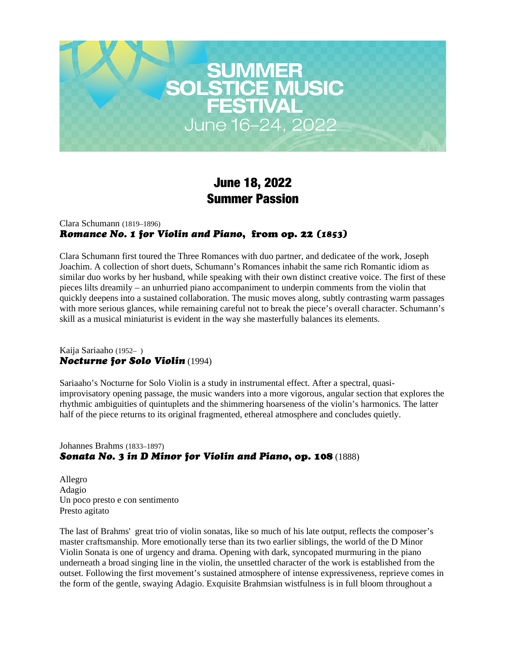

# June 18, 2022 Summer Passion

#### Clara Schumann (1819–1896) *Romance No. 1 for Violin and Piano*, from op. 22 *(1853)*

Clara Schumann first toured the Three Romances with duo partner, and dedicatee of the work, Joseph Joachim. A collection of short duets, Schumann's Romances inhabit the same rich Romantic idiom as similar duo works by her husband, while speaking with their own distinct creative voice. The first of these pieces lilts dreamily – an unhurried piano accompaniment to underpin comments from the violin that quickly deepens into a sustained collaboration. The music moves along, subtly contrasting warm passages with more serious glances, while remaining careful not to break the piece's overall character. Schumann's skill as a musical miniaturist is evident in the way she masterfully balances its elements.

#### Kaija Sariaaho (1952– ) *Nocturne for Solo Violin* (1994)

Sariaaho's Nocturne for Solo Violin is a study in instrumental effect. After a spectral, quasiimprovisatory opening passage, the music wanders into a more vigorous, angular section that explores the rhythmic ambiguities of quintuplets and the shimmering hoarseness of the violin's harmonics. The latter half of the piece returns to its original fragmented, ethereal atmosphere and concludes quietly.

### Johannes Brahms (1833–1897) *Sonata No. 3 in D Minor for Violin and Piano*, op. 108 (1888)

Allegro Adagio Un poco presto e con sentimento Presto agitato

The last of Brahms' great trio of violin sonatas, like so much of his late output, reflects the composer's master craftsmanship. More emotionally terse than its two earlier siblings, the world of the D Minor Violin Sonata is one of urgency and drama. Opening with dark, syncopated murmuring in the piano underneath a broad singing line in the violin, the unsettled character of the work is established from the outset. Following the first movement's sustained atmosphere of intense expressiveness, reprieve comes in the form of the gentle, swaying Adagio. Exquisite Brahmsian wistfulness is in full bloom throughout a